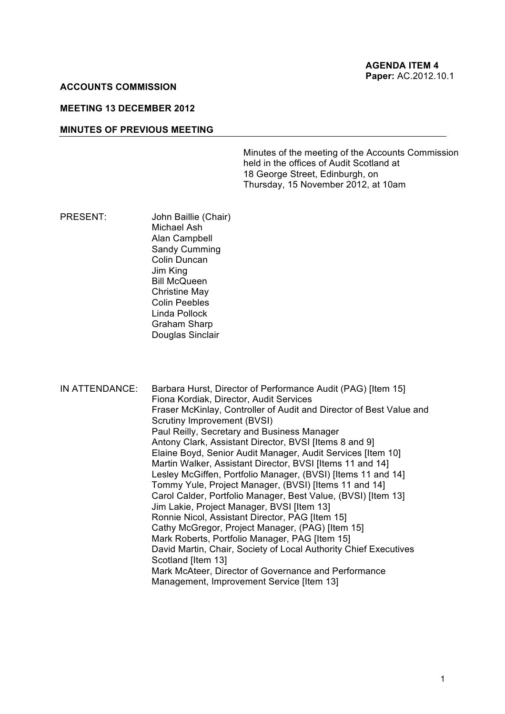#### **ACCOUNTS COMMISSION**

### **MEETING 13 DECEMBER 2012**

#### **MINUTES OF PREVIOUS MEETING**

 Minutes of the meeting of the Accounts Commission held in the offices of Audit Scotland at Thursday, 15 November 2012, at 10am 18 George Street, Edinburgh, on

PRESENT: John Baillie (Chair) Michael Ash Alan Campbell Sandy Cumming Colin Duncan Jim King Bill McQueen Christine May Colin Peebles Linda Pollock Graham Sharp Douglas Sinclair

 IN ATTENDANCE: Barbara Hurst, Director of Performance Audit (PAG) [Item 15] Fraser McKinlay, Controller of Audit and Director of Best Value and Paul Reilly, Secretary and Business Manager Antony Clark, Assistant Director, BVSI [Items 8 and 9] Elaine Boyd, Senior Audit Manager, Audit Services [Item 10] Martin Walker, Assistant Director, BVSI [Items 11 and 14] Lesley McGiffen, Portfolio Manager, (BVSI) [Items 11 and 14] Tommy Yule, Project Manager, (BVSI) [Items 11 and 14] Carol Calder, Portfolio Manager, Best Value, (BVSI) [Item 13] Jim Lakie, Project Manager, BVSI [Item 13] Ronnie Nicol, Assistant Director, PAG [Item 15] Cathy McGregor, Project Manager, (PAG) [Item 15] David Martin, Chair, Society of Local Authority Chief Executives Scotland [Item 13] Mark McAteer, Director of Governance and Performance Fiona Kordiak, Director, Audit Services Scrutiny Improvement (BVSI) Mark Roberts, Portfolio Manager, PAG [Item 15] Management, Improvement Service [Item 13]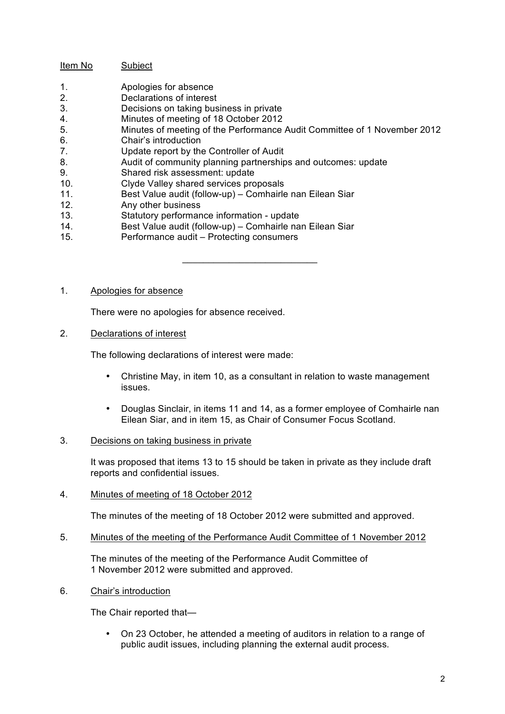# Item No Subject

- $1.$ Apologies for absence
- $2.$ Declarations of interest
- $3<sub>1</sub>$ Decisions on taking business in private
- $\overline{4}$ 4. Minutes of meeting of 18 October 2012
- $5<sub>1</sub>$ 5. Minutes of meeting of the Performance Audit Committee of 1 November 2012

 $\mathcal{L}_\text{max}$  , and the set of the set of the set of the set of the set of the set of the set of the set of the set of the set of the set of the set of the set of the set of the set of the set of the set of the set of the

- 6. Chair's introduction
- $7.$ Update report by the Controller of Audit
- 8. Audit of community planning partnerships and outcomes: update
- 9. Shared risk assessment: update
- 10. Clyde Valley shared services proposals
- 11. Best Value audit (follow-up) Comhairle nan Eilean Siar
- 12. Any other business
- 13. Statutory performance information update
- 14. Best Value audit (follow-up) Comhairle nan Eilean Siar
- 15. Performance audit Protecting consumers

# 1. Apologies for absence

There were no apologies for absence received.

2. Declarations of interest

The following declarations of interest were made:

- Christine May, in item 10, as a consultant in relation to waste management issues.
- Douglas Sinclair, in items 11 and 14, as a former employee of Comhairle nan Eilean Siar, and in item 15, as Chair of Consumer Focus Scotland.

# 3. Decisions on taking business in private

It was proposed that items 13 to 15 should be taken in private as they include draft reports and confidential issues.

4. Minutes of meeting of 18 October 2012

The minutes of the meeting of 18 October 2012 were submitted and approved.

5. Minutes of the meeting of the Performance Audit Committee of 1 November 2012

 The minutes of the meeting of the Performance Audit Committee of 1 November 2012 were submitted and approved.

6. Chair's introduction

The Chair reported that—

• On 23 October, he attended a meeting of auditors in relation to a range of public audit issues, including planning the external audit process.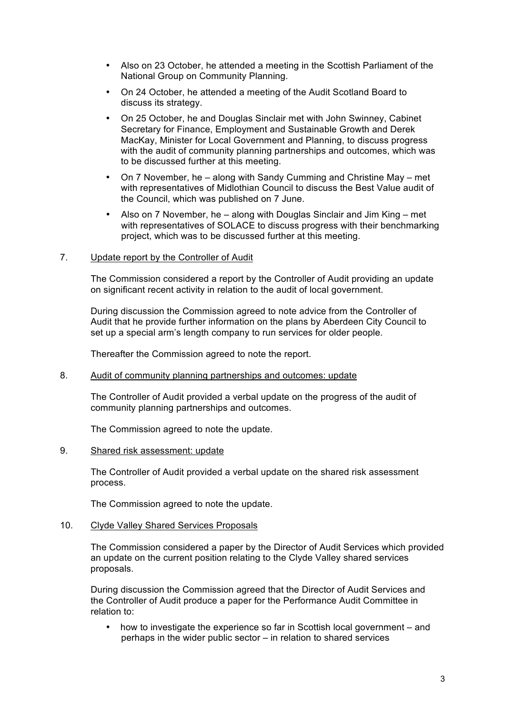- Also on 23 October, he attended a meeting in the Scottish Parliament of the National Group on Community Planning.
- On 24 October, he attended a meeting of the Audit Scotland Board to discuss its strategy.
- On 25 October, he and Douglas Sinclair met with John Swinney, Cabinet Secretary for Finance, Employment and Sustainable Growth and Derek MacKay, Minister for Local Government and Planning, to discuss progress with the audit of community planning partnerships and outcomes, which was to be discussed further at this meeting.
- On 7 November, he along with Sandy Cumming and Christine May met with representatives of Midlothian Council to discuss the Best Value audit of the Council, which was published on 7 June.
- Also on 7 November, he along with Douglas Sinclair and Jim King met with representatives of SOLACE to discuss progress with their benchmarking project, which was to be discussed further at this meeting.

### 7. Update report by the Controller of Audit

 The Commission considered a report by the Controller of Audit providing an update on significant recent activity in relation to the audit of local government.

 During discussion the Commission agreed to note advice from the Controller of Audit that he provide further information on the plans by Aberdeen City Council to set up a special arm's length company to run services for older people.

Thereafter the Commission agreed to note the report.

### 8. Audit of community planning partnerships and outcomes: update

 The Controller of Audit provided a verbal update on the progress of the audit of community planning partnerships and outcomes.

The Commission agreed to note the update.

### 9. Shared risk assessment: update

 The Controller of Audit provided a verbal update on the shared risk assessment process.

The Commission agreed to note the update.

### 10. Clyde Valley Shared Services Proposals

 The Commission considered a paper by the Director of Audit Services which provided an update on the current position relating to the Clyde Valley shared services proposals.

 During discussion the Commission agreed that the Director of Audit Services and the Controller of Audit produce a paper for the Performance Audit Committee in relation to:

• how to investigate the experience so far in Scottish local government – and perhaps in the wider public sector – in relation to shared services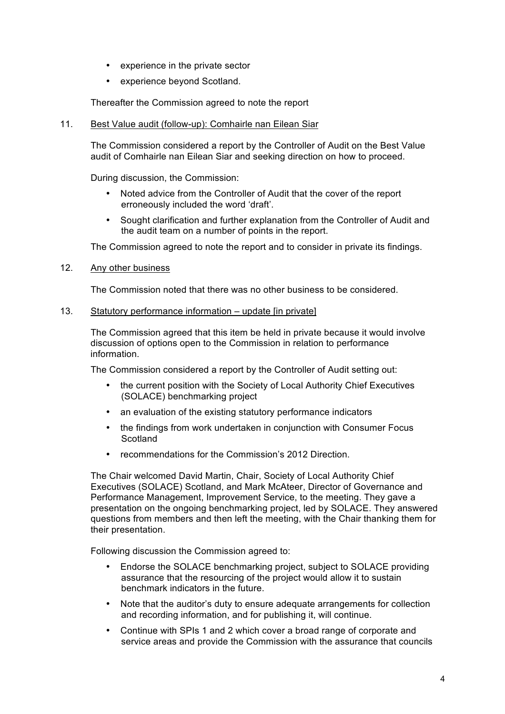- • experience in the private sector
- • experience beyond Scotland.

Thereafter the Commission agreed to note the report

# 11. Best Value audit (follow-up): Comhairle nan Eilean Siar

 The Commission considered a report by the Controller of Audit on the Best Value audit of Comhairle nan Eilean Siar and seeking direction on how to proceed.

During discussion, the Commission:

- Noted advice from the Controller of Audit that the cover of the report erroneously included the word 'draft'.
- Sought clarification and further explanation from the Controller of Audit and the audit team on a number of points in the report.

The Commission agreed to note the report and to consider in private its findings.

## 12. Any other business

The Commission noted that there was no other business to be considered.

# 13. Statutory performance information – update [in private]

 The Commission agreed that this item be held in private because it would involve discussion of options open to the Commission in relation to performance information.

The Commission considered a report by the Controller of Audit setting out:

- the current position with the Society of Local Authority Chief Executives (SOLACE) benchmarking project
- an evaluation of the existing statutory performance indicators
- the findings from work undertaken in conjunction with Consumer Focus **Scotland**
- recommendations for the Commission's 2012 Direction.

 The Chair welcomed David Martin, Chair, Society of Local Authority Chief Executives (SOLACE) Scotland, and Mark McAteer, Director of Governance and Performance Management, Improvement Service, to the meeting. They gave a presentation on the ongoing benchmarking project, led by SOLACE. They answered questions from members and then left the meeting, with the Chair thanking them for their presentation.

Following discussion the Commission agreed to:

- Endorse the SOLACE benchmarking project, subject to SOLACE providing assurance that the resourcing of the project would allow it to sustain benchmark indicators in the future.
- Note that the auditor's duty to ensure adequate arrangements for collection and recording information, and for publishing it, will continue.
- Continue with SPIs 1 and 2 which cover a broad range of corporate and service areas and provide the Commission with the assurance that councils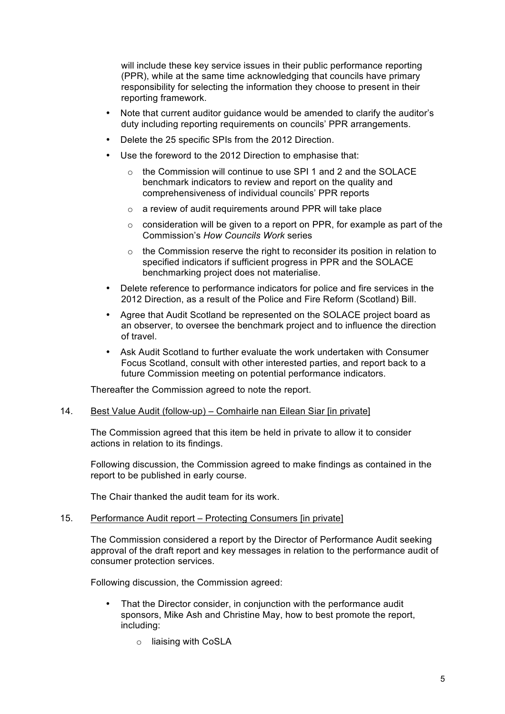will include these key service issues in their public performance reporting responsibility for selecting the information they choose to present in their (PPR), while at the same time acknowledging that councils have primary reporting framework.

- Note that current auditor guidance would be amended to clarify the auditor's duty including reporting requirements on councils' PPR arrangements.
- Delete the 25 specific SPIs from the 2012 Direction.
- Use the foreword to the 2012 Direction to emphasise that:
	- benchmark indicators to review and report on the quality and comprehensiveness of individual councils' PPR reports  $\circ$  the Commission will continue to use SPI 1 and 2 and the SOLACE
	- $\circ$  a review of audit requirements around PPR will take place
	- $\circ$  consideration will be given to a report on PPR, for example as part of the  Commission's *How Councils Work* series
	- specified indicators if sufficient progress in PPR and the SOLACE benchmarking project does not materialise.  $\circ$  the Commission reserve the right to reconsider its position in relation to
- Delete reference to performance indicators for police and fire services in the 2012 Direction, as a result of the Police and Fire Reform (Scotland) Bill.
- Agree that Audit Scotland be represented on the SOLACE project board as an observer, to oversee the benchmark project and to influence the direction of travel.
- Ask Audit Scotland to further evaluate the work undertaken with Consumer Focus Scotland, consult with other interested parties, and report back to a future Commission meeting on potential performance indicators.

Thereafter the Commission agreed to note the report.

### 14. Best Value Audit (follow-up) – Comhairle nan Eilean Siar [in private]

 The Commission agreed that this item be held in private to allow it to consider actions in relation to its findings.

 Following discussion, the Commission agreed to make findings as contained in the report to be published in early course.

The Chair thanked the audit team for its work.

### 15. Performance Audit report – Protecting Consumers [in private]

 The Commission considered a report by the Director of Performance Audit seeking approval of the draft report and key messages in relation to the performance audit of consumer protection services.

Following discussion, the Commission agreed:

- That the Director consider, in conjunction with the performance audit sponsors, Mike Ash and Christine May, how to best promote the report, including:
	- o liaising with CoSLA